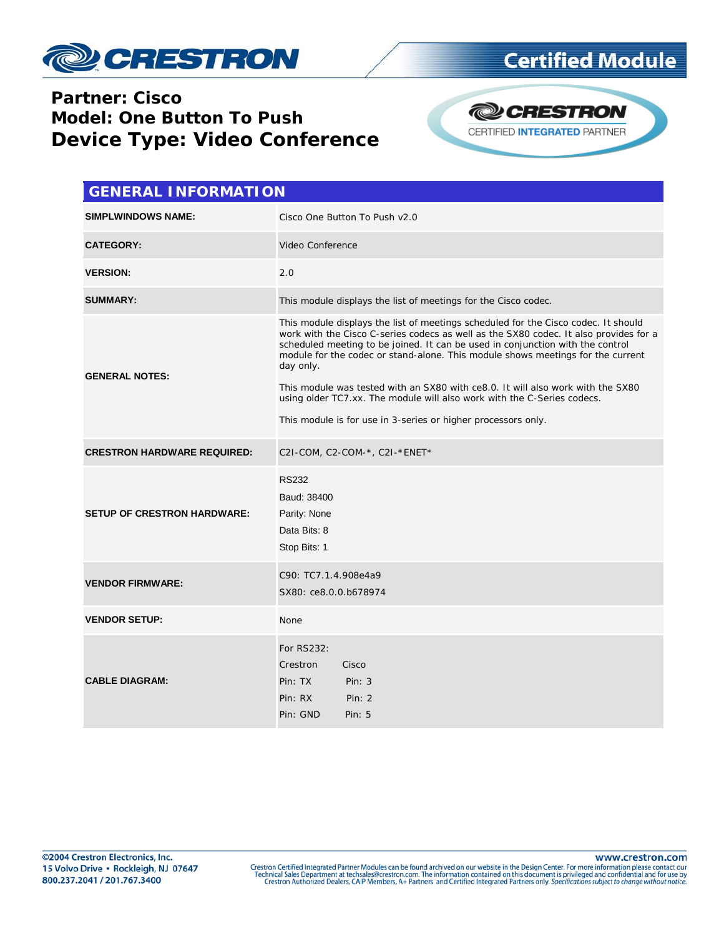

## **Partner: Cisco Model: One Button To Push Device Type: Video Conference**



**Certified Module** 

| <b>GENERAL INFORMATION</b>         |                                                                                                                                                                                                                                                                                                                                                                                                                                                                                                                                                                                              |  |  |  |
|------------------------------------|----------------------------------------------------------------------------------------------------------------------------------------------------------------------------------------------------------------------------------------------------------------------------------------------------------------------------------------------------------------------------------------------------------------------------------------------------------------------------------------------------------------------------------------------------------------------------------------------|--|--|--|
| <b>SIMPLWINDOWS NAME:</b>          | Cisco One Button To Push v2.0                                                                                                                                                                                                                                                                                                                                                                                                                                                                                                                                                                |  |  |  |
| <b>CATEGORY:</b>                   | Video Conference                                                                                                                                                                                                                                                                                                                                                                                                                                                                                                                                                                             |  |  |  |
| <b>VERSION:</b>                    | 2.0                                                                                                                                                                                                                                                                                                                                                                                                                                                                                                                                                                                          |  |  |  |
| <b>SUMMARY:</b>                    | This module displays the list of meetings for the Cisco codec.                                                                                                                                                                                                                                                                                                                                                                                                                                                                                                                               |  |  |  |
| <b>GENERAL NOTES:</b>              | This module displays the list of meetings scheduled for the Cisco codec. It should<br>work with the Cisco C-series codecs as well as the SX80 codec. It also provides for a<br>scheduled meeting to be joined. It can be used in conjunction with the control<br>module for the codec or stand-alone. This module shows meetings for the current<br>day only.<br>This module was tested with an SX80 with ce8.0. It will also work with the SX80<br>using older TC7.xx. The module will also work with the C-Series codecs.<br>This module is for use in 3-series or higher processors only. |  |  |  |
| <b>CRESTRON HARDWARE REQUIRED:</b> | C2I-COM, C2-COM-*, C2I-*ENET*                                                                                                                                                                                                                                                                                                                                                                                                                                                                                                                                                                |  |  |  |
| <b>SETUP OF CRESTRON HARDWARE:</b> | <b>RS232</b><br>Baud: 38400<br>Parity: None<br>Data Bits: 8<br>Stop Bits: 1                                                                                                                                                                                                                                                                                                                                                                                                                                                                                                                  |  |  |  |
| <b>VENDOR FIRMWARE:</b>            | C90: TC7.1.4.908e4a9<br>SX80: ce8.0.0.b678974                                                                                                                                                                                                                                                                                                                                                                                                                                                                                                                                                |  |  |  |
| <b>VENDOR SETUP:</b>               | None                                                                                                                                                                                                                                                                                                                                                                                                                                                                                                                                                                                         |  |  |  |
| <b>CABLE DIAGRAM:</b>              | For RS232:<br>Crestron<br>Cisco<br>Pin: TX<br>Pin: $3$<br>Pin: RX<br>Pin: 2<br>Pin: GND<br>Pin: $5$                                                                                                                                                                                                                                                                                                                                                                                                                                                                                          |  |  |  |

www.crestron.com

Crestron Certified Integrated Partner Modules can be found archived on our website in the Design Center. For more information please contact our<br>Technical Sales Department at techsales@crestron.com. The information contain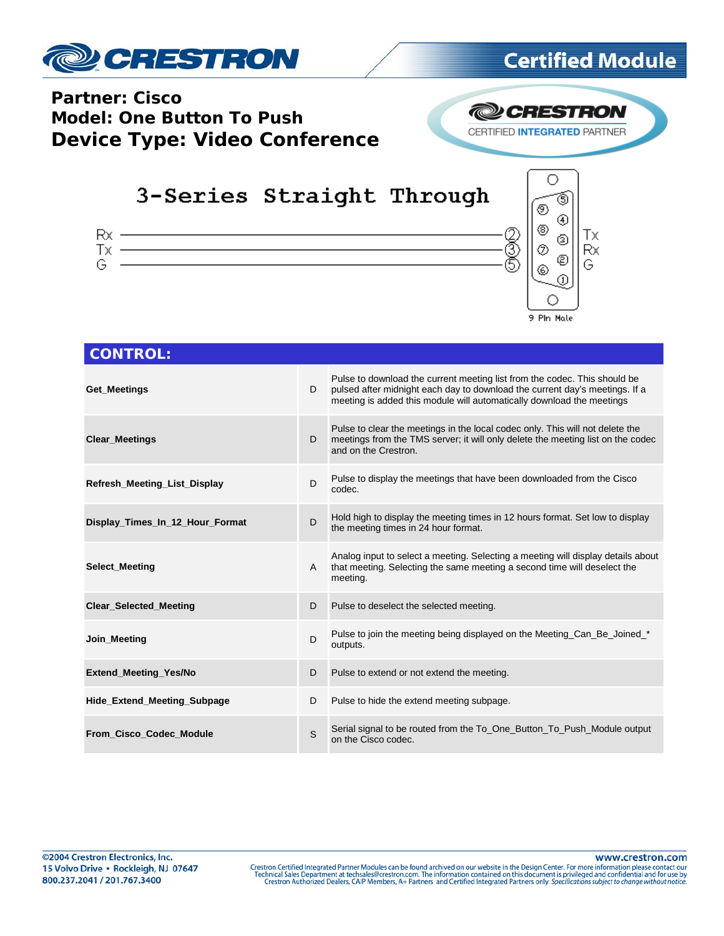

# **Certified Module**

### **Partner: Cisco Model: One Button To Push Device Type: Video Conference**



# 3-Series Straight Through





| <b>CONTROL:</b>                 |   |                                                                                                                                                                                                                                   |
|---------------------------------|---|-----------------------------------------------------------------------------------------------------------------------------------------------------------------------------------------------------------------------------------|
| Get Meetings                    | D | Pulse to download the current meeting list from the codec. This should be<br>pulsed after midnight each day to download the current day's meetings. If a<br>meeting is added this module will automatically download the meetings |
| <b>Clear Meetings</b>           | D | Pulse to clear the meetings in the local codec only. This will not delete the<br>meetings from the TMS server; it will only delete the meeting list on the codec<br>and on the Crestron.                                          |
| Refresh_Meeting_List_Display    | D | Pulse to display the meetings that have been downloaded from the Cisco<br>codec.                                                                                                                                                  |
| Display Times In 12 Hour Format | D | Hold high to display the meeting times in 12 hours format. Set low to display<br>the meeting times in 24 hour format.                                                                                                             |
| <b>Select Meeting</b>           | A | Analog input to select a meeting. Selecting a meeting will display details about<br>that meeting. Selecting the same meeting a second time will deselect the<br>meeting.                                                          |
| <b>Clear Selected Meeting</b>   | D | Pulse to deselect the selected meeting.                                                                                                                                                                                           |
| Join Meeting                    | D | Pulse to join the meeting being displayed on the Meeting_Can_Be_Joined *<br>outputs.                                                                                                                                              |
| Extend_Meeting_Yes/No           | D | Pulse to extend or not extend the meeting.                                                                                                                                                                                        |
| Hide_Extend_Meeting_Subpage     | D | Pulse to hide the extend meeting subpage.                                                                                                                                                                                         |
| From Cisco Codec Module         | S | Serial signal to be routed from the To_One_Button_To_Push_Module output<br>on the Cisco codec.                                                                                                                                    |

www.crestron.com Crestron Certified Integrated Partner Modules can be found archived on our website in the Design Center. For more information please contact our<br>Technical Sales Department at techsales@crestron.com. The information contain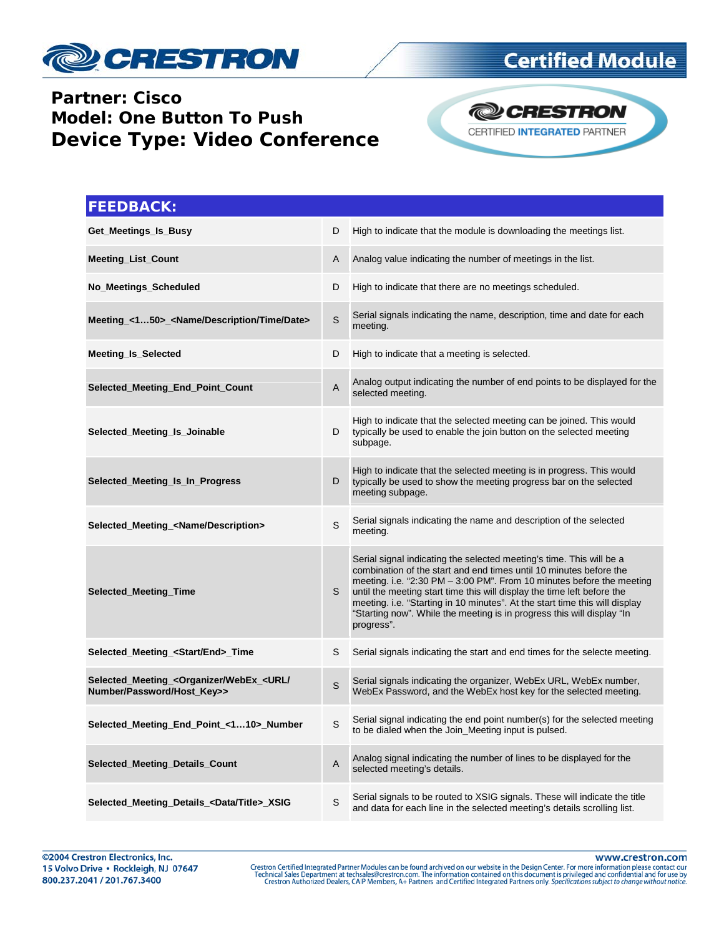

## **Partner: Cisco Model: One Button To Push Device Type: Video Conference**



**@CRESTRON** CERTIFIED INTEGRATED PARTNER

| <b>FEEDBACK:</b>                                                                               |   |                                                                                                                                                                                                                                                                                                                                                                                                                                                                         |
|------------------------------------------------------------------------------------------------|---|-------------------------------------------------------------------------------------------------------------------------------------------------------------------------------------------------------------------------------------------------------------------------------------------------------------------------------------------------------------------------------------------------------------------------------------------------------------------------|
| Get_Meetings_Is_Busy                                                                           | D | High to indicate that the module is downloading the meetings list.                                                                                                                                                                                                                                                                                                                                                                                                      |
| <b>Meeting List Count</b>                                                                      | A | Analog value indicating the number of meetings in the list.                                                                                                                                                                                                                                                                                                                                                                                                             |
| No_Meetings_Scheduled                                                                          | D | High to indicate that there are no meetings scheduled.                                                                                                                                                                                                                                                                                                                                                                                                                  |
| Meeting_<150>_ <name date="" description="" time=""></name>                                    | S | Serial signals indicating the name, description, time and date for each<br>meeting.                                                                                                                                                                                                                                                                                                                                                                                     |
| <b>Meeting Is Selected</b>                                                                     | D | High to indicate that a meeting is selected.                                                                                                                                                                                                                                                                                                                                                                                                                            |
| Selected_Meeting_End_Point_Count                                                               | A | Analog output indicating the number of end points to be displayed for the<br>selected meeting.                                                                                                                                                                                                                                                                                                                                                                          |
| Selected Meeting Is Joinable                                                                   | D | High to indicate that the selected meeting can be joined. This would<br>typically be used to enable the join button on the selected meeting<br>subpage.                                                                                                                                                                                                                                                                                                                 |
| Selected_Meeting_Is_In_Progress                                                                | D | High to indicate that the selected meeting is in progress. This would<br>typically be used to show the meeting progress bar on the selected<br>meeting subpage.                                                                                                                                                                                                                                                                                                         |
| Selected_Meeting_ <name description=""></name>                                                 | S | Serial signals indicating the name and description of the selected<br>meeting.                                                                                                                                                                                                                                                                                                                                                                                          |
| <b>Selected_Meeting_Time</b>                                                                   | S | Serial signal indicating the selected meeting's time. This will be a<br>combination of the start and end times until 10 minutes before the<br>meeting. i.e. "2:30 PM $-$ 3:00 PM". From 10 minutes before the meeting<br>until the meeting start time this will display the time left before the<br>meeting. i.e. "Starting in 10 minutes". At the start time this will display<br>"Starting now". While the meeting is in progress this will display "In<br>progress". |
| Selected_Meeting_ <start end="">_Time</start>                                                  | S | Serial signals indicating the start and end times for the selecte meeting.                                                                                                                                                                                                                                                                                                                                                                                              |
| Selected_Meeting_ <organizer <br="" webex_<url="">Number/Password/Host_Key&gt;&gt;</organizer> | S | Serial signals indicating the organizer, WebEx URL, WebEx number,<br>WebEx Password, and the WebEx host key for the selected meeting.                                                                                                                                                                                                                                                                                                                                   |
| Selected_Meeting_End_Point_<110>_Number                                                        | S | Serial signal indicating the end point number(s) for the selected meeting<br>to be dialed when the Join_Meeting input is pulsed.                                                                                                                                                                                                                                                                                                                                        |
| Selected_Meeting_Details_Count                                                                 | A | Analog signal indicating the number of lines to be displayed for the<br>selected meeting's details.                                                                                                                                                                                                                                                                                                                                                                     |
| Selected_Meeting_Details_ <data title="">_XSIG</data>                                          | S | Serial signals to be routed to XSIG signals. These will indicate the title<br>and data for each line in the selected meeting's details scrolling list.                                                                                                                                                                                                                                                                                                                  |

©2004 Crestron Electronics, Inc. 15 Volvo Drive · Rockleigh, NJ 07647 800.237.2041 / 201.767.3400

www.crestron.com

Crestron Certified Integrated Partner Modules can be found archived on our website in the Design Center. For more information please contact our<br>Technical Sales Department at techsales@crestron.com. The information contain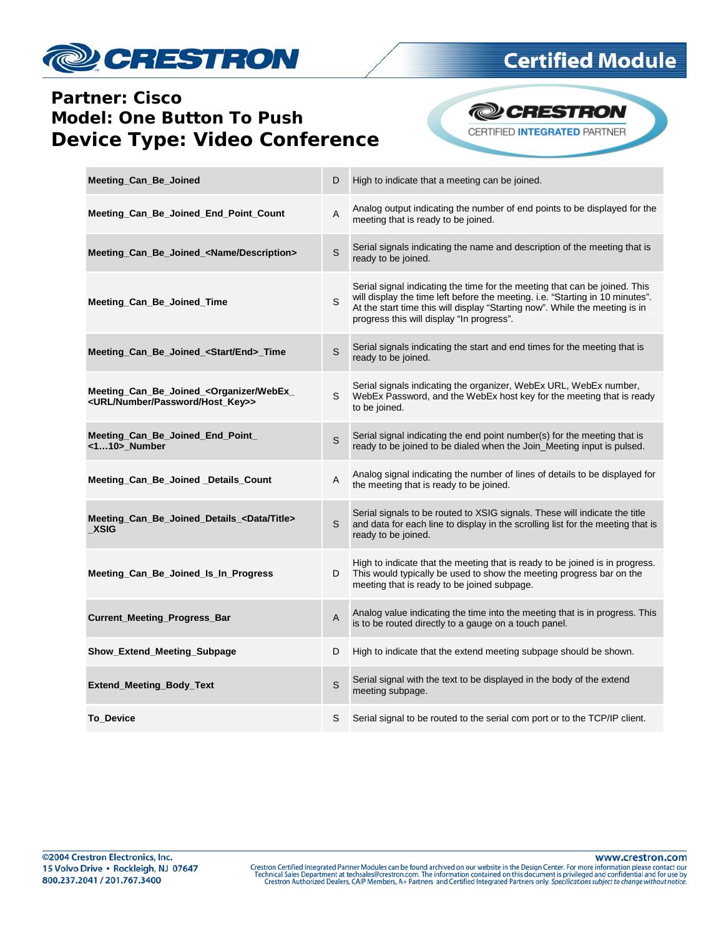

## **Certified Module**

## **Partner: Cisco Model: One Button To Push Device Type: Video Conference**



| Meeting_Can_Be_Joined                                                                                        | D | High to indicate that a meeting can be joined.                                                                                                                                                                                                                                          |
|--------------------------------------------------------------------------------------------------------------|---|-----------------------------------------------------------------------------------------------------------------------------------------------------------------------------------------------------------------------------------------------------------------------------------------|
| Meeting_Can_Be_Joined_End_Point_Count                                                                        | A | Analog output indicating the number of end points to be displayed for the<br>meeting that is ready to be joined.                                                                                                                                                                        |
| Meeting Can Be Joined <name description=""></name>                                                           | S | Serial signals indicating the name and description of the meeting that is<br>ready to be joined.                                                                                                                                                                                        |
| Meeting Can Be Joined Time                                                                                   | S | Serial signal indicating the time for the meeting that can be joined. This<br>will display the time left before the meeting. i.e. "Starting in 10 minutes".<br>At the start time this will display "Starting now". While the meeting is in<br>progress this will display "In progress". |
| Meeting_Can_Be_Joined_ <start end="">_Time</start>                                                           | S | Serial signals indicating the start and end times for the meeting that is<br>ready to be joined.                                                                                                                                                                                        |
| Meeting_Can_Be_Joined_ <organizer webex_<br=""><url host_key="" number="" password="">&gt;</url></organizer> | S | Serial signals indicating the organizer, WebEx URL, WebEx number,<br>WebEx Password, and the WebEx host key for the meeting that is ready<br>to be joined.                                                                                                                              |
| Meeting_Can_Be_Joined_End_Point_<br><110> Number                                                             | S | Serial signal indicating the end point number(s) for the meeting that is<br>ready to be joined to be dialed when the Join Meeting input is pulsed.                                                                                                                                      |
| Meeting Can Be Joined Details Count                                                                          | Α | Analog signal indicating the number of lines of details to be displayed for<br>the meeting that is ready to be joined.                                                                                                                                                                  |
| Meeting Can Be Joined Details <data title=""><br/>XSIG</data>                                                | S | Serial signals to be routed to XSIG signals. These will indicate the title<br>and data for each line to display in the scrolling list for the meeting that is<br>ready to be joined.                                                                                                    |
| Meeting Can Be Joined Is In Progress                                                                         | D | High to indicate that the meeting that is ready to be joined is in progress.<br>This would typically be used to show the meeting progress bar on the<br>meeting that is ready to be joined subpage.                                                                                     |
| <b>Current_Meeting_Progress_Bar</b>                                                                          | A | Analog value indicating the time into the meeting that is in progress. This<br>is to be routed directly to a gauge on a touch panel.                                                                                                                                                    |
| Show_Extend_Meeting_Subpage                                                                                  | D | High to indicate that the extend meeting subpage should be shown.                                                                                                                                                                                                                       |
| <b>Extend Meeting Body Text</b>                                                                              | S | Serial signal with the text to be displayed in the body of the extend<br>meeting subpage.                                                                                                                                                                                               |
| <b>To_Device</b>                                                                                             | S | Serial signal to be routed to the serial com port or to the TCP/IP client.                                                                                                                                                                                                              |

www.crestron.com Crestron Certified Integrated Partner Modules can be found archived on our website in the Design Center. For more information please contact our<br>Technical Sales Department at techsales@crestron.com. The information contain